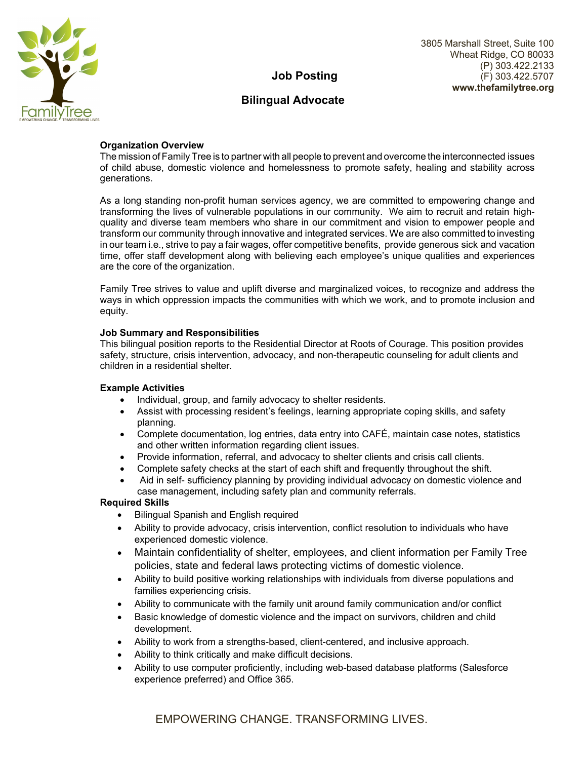

# **Job Posting**

## **Bilingual Advocate**

## **Organization Overview**

The mission of Family Tree is to partner with all people to prevent and overcome the interconnected issues of child abuse, domestic violence and homelessness to promote safety, healing and stability across generations.

As a long standing non-profit human services agency, we are committed to empowering change and transforming the lives of vulnerable populations in our community. We aim to recruit and retain highquality and diverse team members who share in our commitment and vision to empower people and transform our community through innovative and integrated services. We are also committed to investing in our team i.e., strive to pay a fair wages, offer competitive benefits, provide generous sick and vacation time, offer staff development along with believing each employee's unique qualities and experiences are the core of the organization.

Family Tree strives to value and uplift diverse and marginalized voices, to recognize and address the ways in which oppression impacts the communities with which we work, and to promote inclusion and equity.

## **Job Summary and Responsibilities**

This bilingual position reports to the Residential Director at Roots of Courage. This position provides safety, structure, crisis intervention, advocacy, and non-therapeutic counseling for adult clients and children in a residential shelter.

### **Example Activities**

- Individual, group, and family advocacy to shelter residents.
- Assist with processing resident's feelings, learning appropriate coping skills, and safety planning.
- Complete documentation, log entries, data entry into CAFÉ, maintain case notes, statistics and other written information regarding client issues.
- Provide information, referral, and advocacy to shelter clients and crisis call clients.
- Complete safety checks at the start of each shift and frequently throughout the shift.
- Aid in self- sufficiency planning by providing individual advocacy on domestic violence and case management, including safety plan and community referrals.

### **Required Skills**

- Bilingual Spanish and English required
- Ability to provide advocacy, crisis intervention, conflict resolution to individuals who have experienced domestic violence.
- Maintain confidentiality of shelter, employees, and client information per Family Tree policies, state and federal laws protecting victims of domestic violence.
- Ability to build positive working relationships with individuals from diverse populations and families experiencing crisis.
- Ability to communicate with the family unit around family communication and/or conflict
- Basic knowledge of domestic violence and the impact on survivors, children and child development.
- Ability to work from a strengths-based, client-centered, and inclusive approach.
- Ability to think critically and make difficult decisions.
- Ability to use computer proficiently, including web-based database platforms (Salesforce experience preferred) and Office 365.